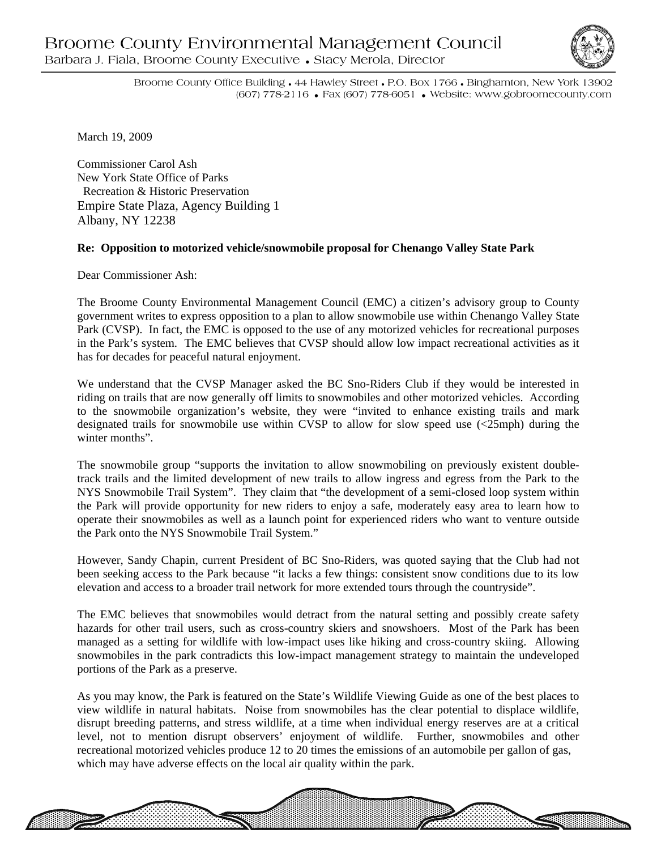## Broome County Environmental Management Council Barbara J. Fiala, Broome County Executive • Stacy Merola, Director



Broome County Office Building • 44 Hawley Street • P.O. Box 1766 • Binghamton, New York 13902 (607) 778-2116 • Fax (607) 778-6051 • Website: www.gobroomecounty.com

March 19, 2009

Commissioner Carol Ash New York State Office of Parks Recreation & Historic Preservation Empire State Plaza, Agency Building 1 Albany, NY 12238

## **Re: Opposition to motorized vehicle/snowmobile proposal for Chenango Valley State Park**

Dear Commissioner Ash:

The Broome County Environmental Management Council (EMC) a citizen's advisory group to County government writes to express opposition to a plan to allow snowmobile use within Chenango Valley State Park (CVSP). In fact, the EMC is opposed to the use of any motorized vehicles for recreational purposes in the Park's system. The EMC believes that CVSP should allow low impact recreational activities as it has for decades for peaceful natural enjoyment.

We understand that the CVSP Manager asked the BC Sno-Riders Club if they would be interested in riding on trails that are now generally off limits to snowmobiles and other motorized vehicles. According to the snowmobile organization's website, they were "invited to enhance existing trails and mark designated trails for snowmobile use within CVSP to allow for slow speed use (<25mph) during the winter months".

The snowmobile group "supports the invitation to allow snowmobiling on previously existent doubletrack trails and the limited development of new trails to allow ingress and egress from the Park to the NYS Snowmobile Trail System". They claim that "the development of a semi-closed loop system within the Park will provide opportunity for new riders to enjoy a safe, moderately easy area to learn how to operate their snowmobiles as well as a launch point for experienced riders who want to venture outside the Park onto the NYS Snowmobile Trail System."

However, Sandy Chapin, current President of BC Sno-Riders, was quoted saying that the Club had not been seeking access to the Park because "it lacks a few things: consistent snow conditions due to its low elevation and access to a broader trail network for more extended tours through the countryside".

The EMC believes that snowmobiles would detract from the natural setting and possibly create safety hazards for other trail users, such as cross-country skiers and snowshoers. Most of the Park has been managed as a setting for wildlife with low-impact uses like hiking and cross-country skiing. Allowing snowmobiles in the park contradicts this low-impact management strategy to maintain the undeveloped portions of the Park as a preserve.

As you may know, the Park is featured on the State's Wildlife Viewing Guide as one of the best places to view wildlife in natural habitats. Noise from snowmobiles has the clear potential to displace wildlife, disrupt breeding patterns, and stress wildlife, at a time when individual energy reserves are at a critical level, not to mention disrupt observers' enjoyment of wildlife. Further, snowmobiles and other recreational motorized vehicles produce 12 to 20 times the emissions of an automobile per gallon of gas, which may have adverse effects on the local air quality within the park.